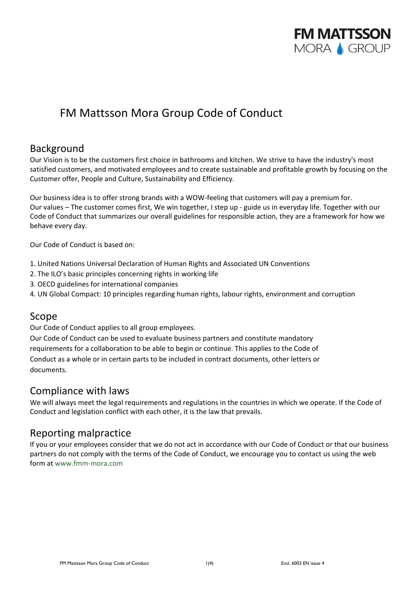

# FM Mattsson Mora Group Code of Conduct

### Background

Our Vision is to be the customers first choice in bathrooms and kitchen. We strive to have the industry's most satisfied customers, and motivated employees and to create sustainable and profitable growth by focusing on the Customer offer, People and Culture, Sustainability and Efficiency.

Our business idea is to offer strong brands with a WOW‐feeling that customers will pay a premium for. Our values – The customer comes first, We win together, I step up ‐ guide us in everyday life. Together with our Code of Conduct that summarizes our overall guidelines for responsible action, they are a framework for how we behave every day.

Our Code of Conduct is based on:

- 1. United Nations Universal Declaration of Human Rights and Associated UN Conventions
- 2. The ILO's basic principles concerning rights in working life
- 3. OECD guidelines for international companies
- 4. UN Global Compact: 10 principles regarding human rights, labour rights, environment and corruption

### Scope

Our Code of Conduct applies to all group employees.

Our Code of Conduct can be used to evaluate business partners and constitute mandatory requirements for a collaboration to be able to begin or continue. This applies to the Code of Conduct as a whole or in certain parts to be included in contract documents, other letters or documents.

### Compliance with laws

We will always meet the legal requirements and regulations in the countries in which we operate. If the Code of Conduct and legislation conflict with each other, it is the law that prevails.

### Reporting malpractice

If you or your employees consider that we do not act in accordance with our Code of Conduct or that our business partners do not comply with the terms of the Code of Conduct, we encourage you to contact us using the web form at www.fmm‐mora.com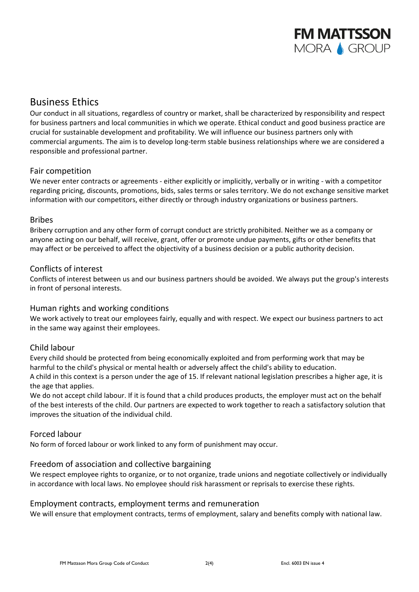

### Business Ethics

Our conduct in all situations, regardless of country or market, shall be characterized by responsibility and respect for business partners and local communities in which we operate. Ethical conduct and good business practice are crucial for sustainable development and profitability. We will influence our business partners only with commercial arguments. The aim is to develop long‐term stable business relationships where we are considered a responsible and professional partner.

#### Fair competition

We never enter contracts or agreements - either explicitly or implicitly, verbally or in writing - with a competitor regarding pricing, discounts, promotions, bids, sales terms or sales territory. We do not exchange sensitive market information with our competitors, either directly or through industry organizations or business partners.

#### Bribes

Bribery corruption and any other form of corrupt conduct are strictly prohibited. Neither we as a company or anyone acting on our behalf, will receive, grant, offer or promote undue payments, gifts or other benefits that may affect or be perceived to affect the objectivity of a business decision or a public authority decision.

#### Conflicts of interest

Conflicts of interest between us and our business partners should be avoided. We always put the group's interests in front of personal interests.

#### Human rights and working conditions

We work actively to treat our employees fairly, equally and with respect. We expect our business partners to act in the same way against their employees.

#### Child labour

Every child should be protected from being economically exploited and from performing work that may be harmful to the child's physical or mental health or adversely affect the child's ability to education. A child in this context is a person under the age of 15. If relevant national legislation prescribes a higher age, it is the age that applies.

We do not accept child labour. If it is found that a child produces products, the employer must act on the behalf of the best interests of the child. Our partners are expected to work together to reach a satisfactory solution that improves the situation of the individual child.

#### Forced labour

No form of forced labour or work linked to any form of punishment may occur.

#### Freedom of association and collective bargaining

We respect employee rights to organize, or to not organize, trade unions and negotiate collectively or individually in accordance with local laws. No employee should risk harassment or reprisals to exercise these rights.

#### Employment contracts, employment terms and remuneration

We will ensure that employment contracts, terms of employment, salary and benefits comply with national law.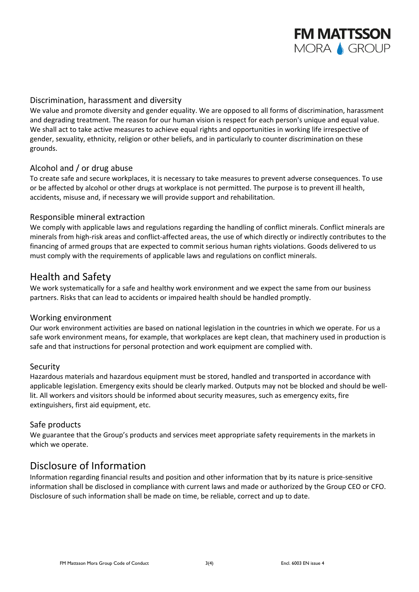

#### Discrimination, harassment and diversity

We value and promote diversity and gender equality. We are opposed to all forms of discrimination, harassment and degrading treatment. The reason for our human vision is respect for each person's unique and equal value. We shall act to take active measures to achieve equal rights and opportunities in working life irrespective of gender, sexuality, ethnicity, religion or other beliefs, and in particularly to counter discrimination on these grounds.

#### Alcohol and / or drug abuse

To create safe and secure workplaces, it is necessary to take measures to prevent adverse consequences. To use or be affected by alcohol or other drugs at workplace is not permitted. The purpose is to prevent ill health, accidents, misuse and, if necessary we will provide support and rehabilitation.

#### Responsible mineral extraction

We comply with applicable laws and regulations regarding the handling of conflict minerals. Conflict minerals are minerals from high-risk areas and conflict-affected areas, the use of which directly or indirectly contributes to the financing of armed groups that are expected to commit serious human rights violations. Goods delivered to us must comply with the requirements of applicable laws and regulations on conflict minerals.

### Health and Safety

We work systematically for a safe and healthy work environment and we expect the same from our business partners. Risks that can lead to accidents or impaired health should be handled promptly.

#### Working environment

Our work environment activities are based on national legislation in the countries in which we operate. For us a safe work environment means, for example, that workplaces are kept clean, that machinery used in production is safe and that instructions for personal protection and work equipment are complied with.

#### Security

Hazardous materials and hazardous equipment must be stored, handled and transported in accordance with applicable legislation. Emergency exits should be clearly marked. Outputs may not be blocked and should be welllit. All workers and visitors should be informed about security measures, such as emergency exits, fire extinguishers, first aid equipment, etc.

#### Safe products

We guarantee that the Group's products and services meet appropriate safety requirements in the markets in which we operate.

### Disclosure of Information

Information regarding financial results and position and other information that by its nature is price‐sensitive information shall be disclosed in compliance with current laws and made or authorized by the Group CEO or CFO. Disclosure of such information shall be made on time, be reliable, correct and up to date.